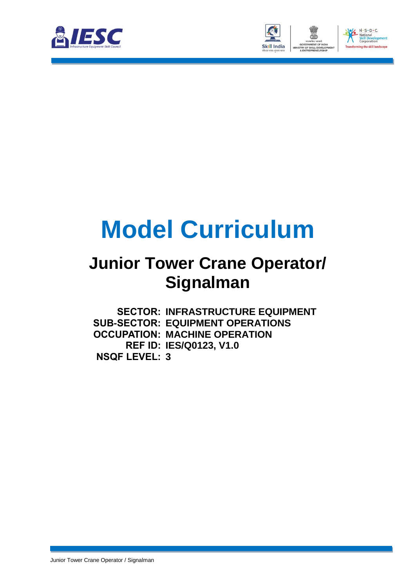



# **Model Curriculum**

### **Junior Tower Crane Operator/ Signalman**

**SECTOR: INFRASTRUCTURE EQUIPMENT SUB-SECTOR: EQUIPMENT OPERATIONS OCCUPATION: MACHINE OPERATION REF ID: IES/Q0123, V1.0 NSQF LEVEL: 3**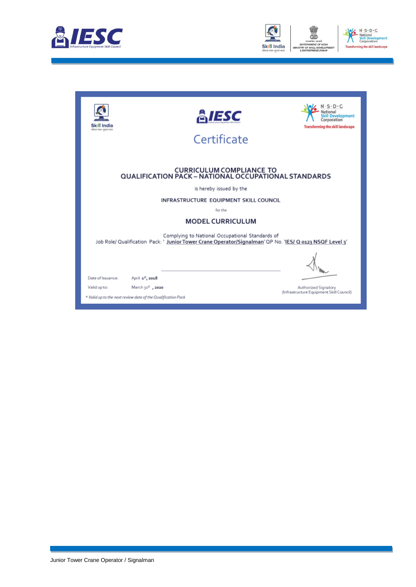



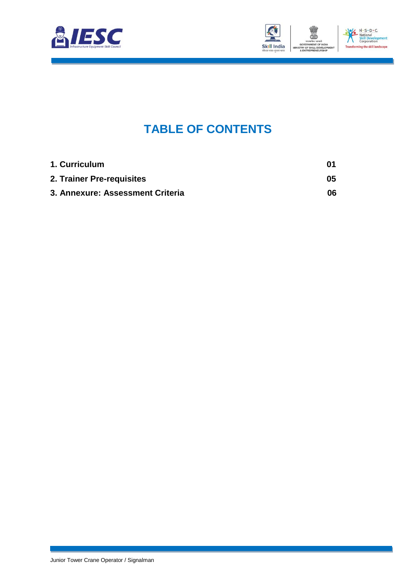



### **TABLE OF CONTENTS**

<span id="page-2-2"></span><span id="page-2-1"></span><span id="page-2-0"></span>

| 1. Curriculum                    | 01 |
|----------------------------------|----|
| 2. Trainer Pre-requisites        | 05 |
| 3. Annexure: Assessment Criteria | 06 |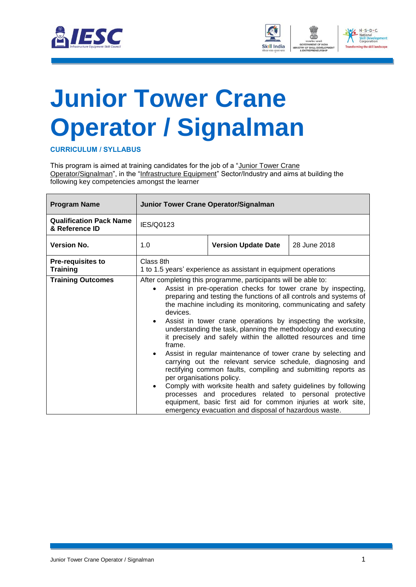



## <span id="page-3-0"></span>**[Junior Tower Crane](#page-2-0) Operator [/ Signalman](#page-2-0)**

**CURRICULUM / SYLLABUS**

This program is aimed at training candidates for the job of a "Junior Tower Crane Operator/Signalman", in the "Infrastructure Equipment" Sector/Industry and aims at building the following key competencies amongst the learner

| <b>Program Name</b>                              | Junior Tower Crane Operator/Signalman                                        |                                                                                                                                                                                                                                                                                                                                                                                                                                                                                                                                                                                                                                                                                                                                                                                                                                                                                                                                   |              |  |
|--------------------------------------------------|------------------------------------------------------------------------------|-----------------------------------------------------------------------------------------------------------------------------------------------------------------------------------------------------------------------------------------------------------------------------------------------------------------------------------------------------------------------------------------------------------------------------------------------------------------------------------------------------------------------------------------------------------------------------------------------------------------------------------------------------------------------------------------------------------------------------------------------------------------------------------------------------------------------------------------------------------------------------------------------------------------------------------|--------------|--|
| <b>Qualification Pack Name</b><br>& Reference ID | IES/Q0123                                                                    |                                                                                                                                                                                                                                                                                                                                                                                                                                                                                                                                                                                                                                                                                                                                                                                                                                                                                                                                   |              |  |
| <b>Version No.</b>                               | 1.0                                                                          | <b>Version Update Date</b>                                                                                                                                                                                                                                                                                                                                                                                                                                                                                                                                                                                                                                                                                                                                                                                                                                                                                                        | 28 June 2018 |  |
| <b>Pre-requisites to</b><br><b>Training</b>      | Class 8th<br>1 to 1.5 years' experience as assistant in equipment operations |                                                                                                                                                                                                                                                                                                                                                                                                                                                                                                                                                                                                                                                                                                                                                                                                                                                                                                                                   |              |  |
| <b>Training Outcomes</b>                         | devices.<br>$\bullet$<br>frame.<br>per organisations policy.                 | After completing this programme, participants will be able to:<br>Assist in pre-operation checks for tower crane by inspecting,<br>preparing and testing the functions of all controls and systems of<br>the machine including its monitoring, communicating and safety<br>Assist in tower crane operations by inspecting the worksite,<br>understanding the task, planning the methodology and executing<br>it precisely and safely within the allotted resources and time<br>Assist in regular maintenance of tower crane by selecting and<br>carrying out the relevant service schedule, diagnosing and<br>rectifying common faults, compiling and submitting reports as<br>Comply with worksite health and safety guidelines by following<br>processes and procedures related to personal protective<br>equipment, basic first aid for common injuries at work site,<br>emergency evacuation and disposal of hazardous waste. |              |  |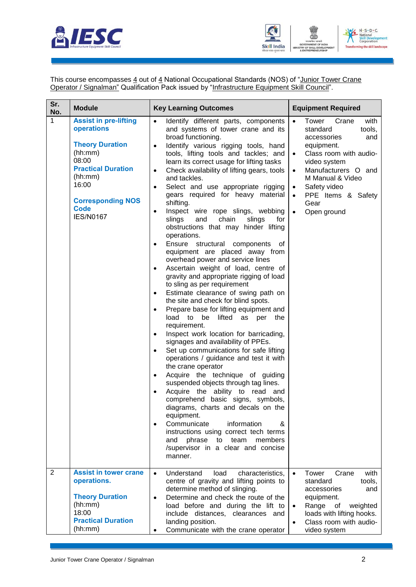



This course encompasses 4 out of 4 National Occupational Standards (NOS) of "Junior Tower Crane Operator / Signalman" Qualification Pack issued by "Infrastructure Equipment Skill Council".

| Sr.<br>No.     | <b>Module</b>                                                                                                                                                                                            | <b>Key Learning Outcomes</b>                                                                                                                                                                                                                                                                                                                                                                                                                                                                                                                                                                                                                                                                                                                                                                                                                                                                                                                                                                                                                                                                                                                                                                                                                                                                                                                                                                                                                                                                                                                                                                                                                                             | <b>Equipment Required</b>                                                                                                                                                                                                                                                 |
|----------------|----------------------------------------------------------------------------------------------------------------------------------------------------------------------------------------------------------|--------------------------------------------------------------------------------------------------------------------------------------------------------------------------------------------------------------------------------------------------------------------------------------------------------------------------------------------------------------------------------------------------------------------------------------------------------------------------------------------------------------------------------------------------------------------------------------------------------------------------------------------------------------------------------------------------------------------------------------------------------------------------------------------------------------------------------------------------------------------------------------------------------------------------------------------------------------------------------------------------------------------------------------------------------------------------------------------------------------------------------------------------------------------------------------------------------------------------------------------------------------------------------------------------------------------------------------------------------------------------------------------------------------------------------------------------------------------------------------------------------------------------------------------------------------------------------------------------------------------------------------------------------------------------|---------------------------------------------------------------------------------------------------------------------------------------------------------------------------------------------------------------------------------------------------------------------------|
| 1              | <b>Assist in pre-lifting</b><br>operations<br><b>Theory Duration</b><br>(hh:mm)<br>08:00<br><b>Practical Duration</b><br>(hh:mm)<br>16:00<br><b>Corresponding NOS</b><br><b>Code</b><br><b>IES/N0167</b> | Identify different parts, components<br>$\bullet$<br>and systems of tower crane and its<br>broad functioning.<br>Identify various rigging tools, hand<br>$\bullet$<br>tools, lifting tools and tackles; and<br>learn its correct usage for lifting tasks<br>Check availability of lifting gears, tools<br>$\bullet$<br>and tackles.<br>Select and use appropriate rigging<br>٠<br>gears required for heavy material<br>shifting.<br>Inspect wire rope slings, webbing<br>$\bullet$<br>slings<br>and<br>chain<br>slings<br>for<br>obstructions that may hinder lifting<br>operations.<br>Ensure structural components of<br>$\bullet$<br>equipment are placed away from<br>overhead power and service lines<br>Ascertain weight of load, centre of<br>$\bullet$<br>gravity and appropriate rigging of load<br>to sling as per requirement<br>Estimate clearance of swing path on<br>$\bullet$<br>the site and check for blind spots.<br>Prepare base for lifting equipment and<br>$\bullet$<br>load to<br>be<br>lifted as<br>the<br>per<br>requirement.<br>Inspect work location for barricading,<br>$\bullet$<br>signages and availability of PPEs.<br>Set up communications for safe lifting<br>$\bullet$<br>operations / guidance and test it with<br>the crane operator<br>Acquire the technique of guiding<br>$\bullet$<br>suspended objects through tag lines.<br>Acquire the ability to read<br>and<br>comprehend basic signs, symbols,<br>diagrams, charts and decals on the<br>equipment.<br>Communicate<br>information<br>&<br>instructions using correct tech terms<br>phrase<br>to<br>team<br>members<br>and<br>/supervisor in a clear and concise<br>manner. | Crane<br>with<br>Tower<br>$\bullet$<br>tools,<br>standard<br>accessories<br>and<br>equipment.<br>Class room with audio-<br>$\bullet$<br>video system<br>Manufacturers O and<br>M Manual & Video<br>Safety video<br>$\bullet$<br>PPE Items & Safety<br>Gear<br>Open ground |
| $\overline{2}$ | <b>Assist in tower crane</b><br>operations.<br><b>Theory Duration</b><br>(hh:mm)<br>18:00<br><b>Practical Duration</b><br>(hh:mm)                                                                        | Understand<br>load<br>characteristics,<br>$\bullet$<br>centre of gravity and lifting points to<br>determine method of slinging.<br>Determine and check the route of the<br>$\bullet$<br>load before and during the lift to<br>include distances, clearances and<br>landing position.<br>Communicate with the crane operator<br>٠                                                                                                                                                                                                                                                                                                                                                                                                                                                                                                                                                                                                                                                                                                                                                                                                                                                                                                                                                                                                                                                                                                                                                                                                                                                                                                                                         | Tower<br>with<br>Crane<br>$\bullet$<br>standard<br>tools,<br>accessories<br>and<br>equipment.<br>Range<br>of<br>weighted<br>$\bullet$<br>loads with lifting hooks.<br>Class room with audio-<br>$\bullet$<br>video system                                                 |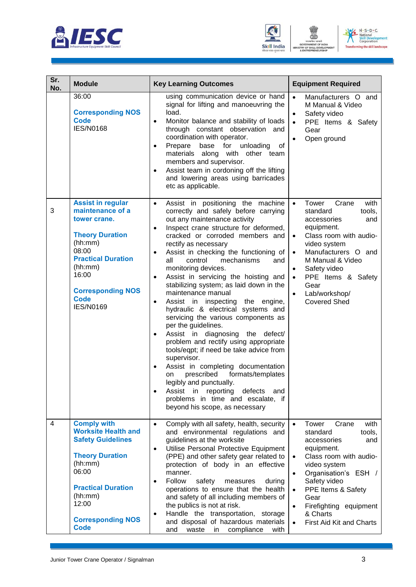





| Sr.<br>No. | <b>Module</b>                                                                                                                                                                                                              | <b>Key Learning Outcomes</b>                                                                                                                                                                                                                                                                                                                                                                                                                                                                                                                                                                                                                                                                                                                                                                                                                                                                                                                                                                                                                  | <b>Equipment Required</b>                                                                                                                                                                                                                                                                                                                               |
|------------|----------------------------------------------------------------------------------------------------------------------------------------------------------------------------------------------------------------------------|-----------------------------------------------------------------------------------------------------------------------------------------------------------------------------------------------------------------------------------------------------------------------------------------------------------------------------------------------------------------------------------------------------------------------------------------------------------------------------------------------------------------------------------------------------------------------------------------------------------------------------------------------------------------------------------------------------------------------------------------------------------------------------------------------------------------------------------------------------------------------------------------------------------------------------------------------------------------------------------------------------------------------------------------------|---------------------------------------------------------------------------------------------------------------------------------------------------------------------------------------------------------------------------------------------------------------------------------------------------------------------------------------------------------|
|            | 36:00<br><b>Corresponding NOS</b><br><b>Code</b><br><b>IES/N0168</b>                                                                                                                                                       | using communication device or hand<br>signal for lifting and manoeuvring the<br>load.<br>Monitor balance and stability of loads<br>$\bullet$<br>through constant observation and<br>coordination with operator.<br>Prepare<br>base<br>for<br>unloading<br>of<br>$\bullet$<br>materials along<br>with other team<br>members and supervisor.<br>Assist team in cordoning off the lifting<br>$\bullet$<br>and lowering areas using barricades<br>etc as applicable.                                                                                                                                                                                                                                                                                                                                                                                                                                                                                                                                                                              | Manufacturers O and<br>$\bullet$<br>M Manual & Video<br>Safety video<br>$\bullet$<br>PPE Items & Safety<br>$\bullet$<br>Gear<br>Open ground<br>$\bullet$                                                                                                                                                                                                |
| 3          | <b>Assist in regular</b><br>maintenance of a<br>tower crane.<br><b>Theory Duration</b><br>(hh:mm)<br>08:00<br><b>Practical Duration</b><br>(hh:mm)<br>16:00<br><b>Corresponding NOS</b><br><b>Code</b><br><b>IES/N0169</b> | Assist in positioning the machine<br>$\bullet$<br>correctly and safely before carrying<br>out any maintenance activity<br>Inspect crane structure for deformed,<br>$\bullet$<br>cracked or corroded members and<br>rectify as necessary<br>Assist in checking the functioning of<br>$\bullet$<br>control<br>mechanisms<br>all<br>and<br>monitoring devices.<br>Assist in servicing the hoisting and<br>$\bullet$<br>stabilizing system; as laid down in the<br>maintenance manual<br>Assist in inspecting the<br>engine,<br>$\bullet$<br>hydraulic & electrical systems and<br>servicing the various components as<br>per the guidelines.<br>Assist in diagnosing<br>the<br>defect/<br>$\bullet$<br>problem and rectify using appropriate<br>tools/eqpt; if need be take advice from<br>supervisor.<br>Assist in completing documentation<br>prescribed<br>formats/templates<br>on<br>legibly and punctually.<br>reporting<br>defects<br>Assist in<br>and<br>$\bullet$<br>problems in time and escalate, if<br>beyond his scope, as necessary | Tower<br>Crane<br>with<br>$\bullet$<br>tools,<br>standard<br>accessories<br>and<br>equipment.<br>Class room with audio-<br>$\bullet$<br>video system<br>Manufacturers O and<br>$\bullet$<br>M Manual & Video<br>Safety video<br>$\bullet$<br>PPE Items & Safety<br>$\bullet$<br>Gear<br>Lab/workshop/<br><b>Covered Shed</b>                            |
| 4          | <b>Comply with</b><br><b>Worksite Health and</b><br><b>Safety Guidelines</b><br><b>Theory Duration</b><br>(hh:mm)<br>06:00<br><b>Practical Duration</b><br>(hh:mm)<br>12:00<br><b>Corresponding NOS</b><br><b>Code</b>     | Comply with all safety, health, security<br>$\bullet$<br>and environmental regulations and<br>guidelines at the worksite<br>Utilise Personal Protective Equipment<br>$\bullet$<br>(PPE) and other safety gear related to<br>protection of body in an effective<br>manner.<br>Follow<br>safety<br>measures<br>during<br>$\bullet$<br>operations to ensure that the health<br>and safety of all including members of<br>the publics is not at risk.<br>Handle the transportation, storage<br>$\bullet$<br>and disposal of hazardous materials<br>and<br>waste<br>in<br>compliance<br>with                                                                                                                                                                                                                                                                                                                                                                                                                                                       | Crane<br>Tower<br>with<br>$\bullet$<br>standard<br>tools,<br>accessories<br>and<br>equipment.<br>Class room with audio-<br>$\bullet$<br>video system<br>Organisation's ESH /<br>$\bullet$<br>Safety video<br>PPE Items & Safety<br>$\bullet$<br>Gear<br>Firefighting equipment<br>$\bullet$<br>& Charts<br><b>First Aid Kit and Charts</b><br>$\bullet$ |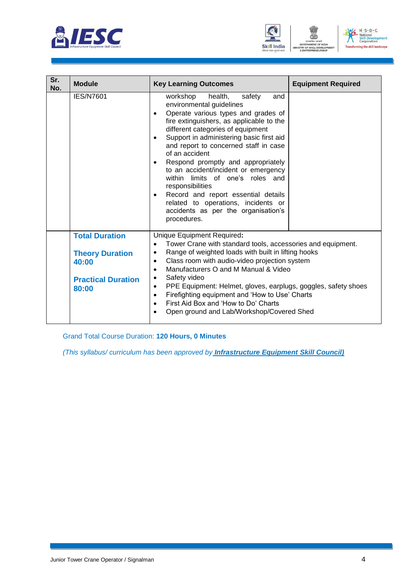





| Sr.<br>No. | <b>Module</b>                                                                                  | <b>Key Learning Outcomes</b>                                                                                                                                                                                                                                                                                                                                                                                                                                                                                                                                                           | <b>Equipment Required</b> |
|------------|------------------------------------------------------------------------------------------------|----------------------------------------------------------------------------------------------------------------------------------------------------------------------------------------------------------------------------------------------------------------------------------------------------------------------------------------------------------------------------------------------------------------------------------------------------------------------------------------------------------------------------------------------------------------------------------------|---------------------------|
|            | <b>IES/N7601</b>                                                                               | workshop<br>health,<br>safety<br>and<br>environmental guidelines<br>Operate various types and grades of<br>fire extinguishers, as applicable to the<br>different categories of equipment<br>Support in administering basic first aid<br>$\bullet$<br>and report to concerned staff in case<br>of an accident<br>Respond promptly and appropriately<br>to an accident/incident or emergency<br>within limits of one's roles and<br>responsibilities<br>Record and report essential details<br>related to operations, incidents or<br>accidents as per the organisation's<br>procedures. |                           |
|            | <b>Total Duration</b><br><b>Theory Duration</b><br>40:00<br><b>Practical Duration</b><br>80:00 | Unique Equipment Required:<br>Tower Crane with standard tools, accessories and equipment.<br>$\bullet$<br>Range of weighted loads with built in lifting hooks<br>$\bullet$<br>Class room with audio-video projection system<br>$\bullet$<br>Manufacturers O and M Manual & Video<br>$\bullet$<br>Safety video<br>$\bullet$<br>PPE Equipment: Helmet, gloves, earplugs, goggles, safety shoes<br>$\bullet$<br>Firefighting equipment and 'How to Use' Charts<br>$\bullet$<br>First Aid Box and 'How to Do' Charts<br>$\bullet$<br>Open ground and Lab/Workshop/Covered Shed             |                           |

Grand Total Course Duration: **120 Hours, 0 Minutes**

*(This syllabus/ curriculum has been approved by Infrastructure Equipment Skill Council)*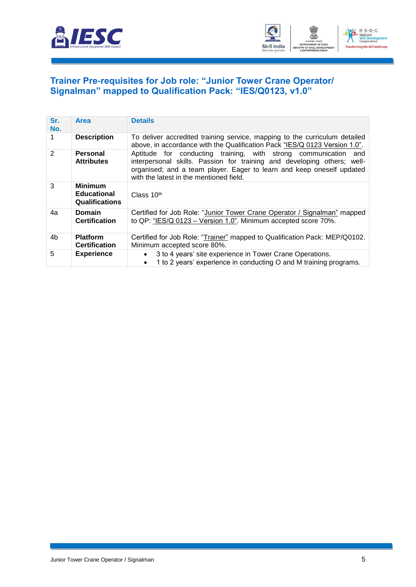



#### <span id="page-7-0"></span>**[Trainer Pre-requisites for Job role: "Junior Tower Crane Operator/](#page-2-1) [Signalman" mapped to Qualification Pack: "IES/Q0123, v1.0"](#page-2-1)**

| Sr.<br>No.    | <b>Area</b>                                                   | <b>Details</b>                                                                                                                                                                                                                                                    |
|---------------|---------------------------------------------------------------|-------------------------------------------------------------------------------------------------------------------------------------------------------------------------------------------------------------------------------------------------------------------|
|               | <b>Description</b>                                            | To deliver accredited training service, mapping to the curriculum detailed<br>above, in accordance with the Qualification Pack "IES/Q 0123 Version 1.0".                                                                                                          |
| $\mathcal{P}$ | Personal<br><b>Attributes</b>                                 | Aptitude for conducting training, with strong communication<br>and<br>interpersonal skills. Passion for training and developing others; well-<br>organised; and a team player. Eager to learn and keep oneself updated<br>with the latest in the mentioned field. |
| 3             | <b>Minimum</b><br><b>Educational</b><br><b>Qualifications</b> | Class $10th$                                                                                                                                                                                                                                                      |
| 4a            | <b>Domain</b><br><b>Certification</b>                         | Certified for Job Role: "Junior Tower Crane Operator / Signalman" mapped<br>to QP: "IES/Q 0123 - Version 1.0". Minimum accepted score 70%.                                                                                                                        |
| 4b            | <b>Platform</b><br><b>Certification</b>                       | Certified for Job Role: "Trainer" mapped to Qualification Pack: MEP/Q0102.<br>Minimum accepted score 80%.                                                                                                                                                         |
| 5             | <b>Experience</b>                                             | 3 to 4 years' site experience in Tower Crane Operations.<br>$\bullet$<br>1 to 2 years' experience in conducting O and M training programs.                                                                                                                        |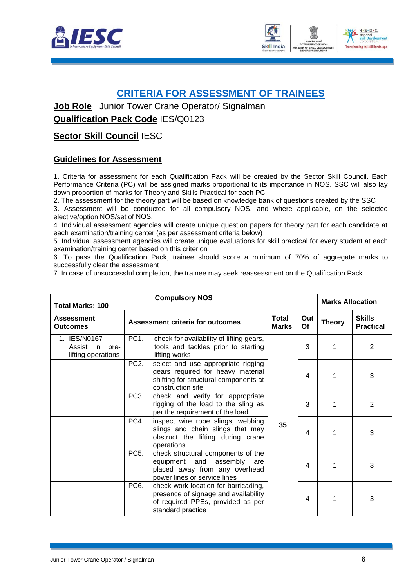



#### <span id="page-8-0"></span>**CRITERIA FOR [ASSESSMENT](#page-2-2) OF TRAINEES**

**Job Role** Junior Tower Crane Operator/ Signalman

**Qualification Pack Code** IES/Q0123

#### **Sector Skill Council** IESC

#### **Guidelines for Assessment**

1. Criteria for assessment for each Qualification Pack will be created by the Sector Skill Council. Each Performance Criteria (PC) will be assigned marks proportional to its importance in NOS. SSC will also lay down proportion of marks for Theory and Skills Practical for each PC

2. The assessment for the theory part will be based on knowledge bank of questions created by the SSC

3. Assessment will be conducted for all compulsory NOS, and where applicable, on the selected elective/option NOS/set of NOS.

4. Individual assessment agencies will create unique question papers for theory part for each candidate at each examination/training center (as per assessment criteria below)

5. Individual assessment agencies will create unique evaluations for skill practical for every student at each examination/training center based on this criterion

6. To pass the Qualification Pack, trainee should score a minimum of 70% of aggregate marks to successfully clear the assessment

7. In case of unsuccessful completion, the trainee may seek reassessment on the Qualification Pack

| <b>Compulsory NOS</b><br><b>Total Marks: 100</b>        |                   |                                                                                                                                        |                              |           | <b>Marks Allocation</b> |                                   |
|---------------------------------------------------------|-------------------|----------------------------------------------------------------------------------------------------------------------------------------|------------------------------|-----------|-------------------------|-----------------------------------|
| <b>Assessment</b><br><b>Outcomes</b>                    |                   | Assessment criteria for outcomes                                                                                                       | <b>Total</b><br><b>Marks</b> | Out<br>Of | <b>Theory</b>           | <b>Skills</b><br><b>Practical</b> |
| 1. IES/N0167<br>Assist in<br>pre-<br>lifting operations | PC1.              | check for availability of lifting gears,<br>tools and tackles prior to starting<br>lifting works                                       |                              | 3         | 1                       | 2                                 |
|                                                         | PC <sub>2</sub> . | select and use appropriate rigging<br>gears required for heavy material<br>shifting for structural components at<br>construction site  | 35                           | 4         | 1                       | 3                                 |
|                                                         | PC3.              | check and verify for appropriate<br>rigging of the load to the sling as<br>per the requirement of the load                             |                              | 3         | 1                       | $\overline{2}$                    |
|                                                         | PC4.              | inspect wire rope slings, webbing<br>slings and chain slings that may<br>obstruct the lifting during crane<br>operations               |                              | 4         |                         | 3                                 |
|                                                         | PC <sub>5</sub> . | check structural components of the<br>equipment and assembly<br>are<br>placed away from any overhead<br>power lines or service lines   |                              | 4         | 1                       | 3                                 |
|                                                         | PC <sub>6</sub> . | check work location for barricading,<br>presence of signage and availability<br>of required PPEs, provided as per<br>standard practice |                              | 4         | 1                       | 3                                 |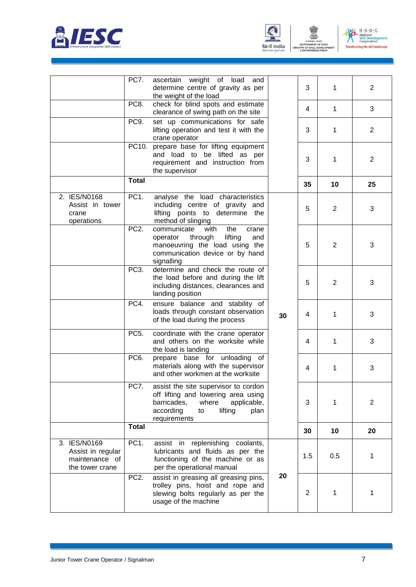



TRY OF

ENT



|                                                                        | PC7.              | ascertain weight of load<br>and<br>determine centre of gravity as per<br>the weight of the load                                                                          |    | 3              | 1   | $\overline{2}$ |
|------------------------------------------------------------------------|-------------------|--------------------------------------------------------------------------------------------------------------------------------------------------------------------------|----|----------------|-----|----------------|
|                                                                        | PC8.              | check for blind spots and estimate<br>clearance of swing path on the site                                                                                                |    | 4              | 1   | 3              |
|                                                                        | PC9.              | set up communications for safe<br>lifting operation and test it with the<br>crane operator                                                                               |    | 3              | 1   | $\overline{2}$ |
|                                                                        |                   | PC10. prepare base for lifting equipment<br>and load to be lifted as per<br>requirement and instruction from<br>the supervisor                                           |    | 3              | 1   | $\overline{2}$ |
|                                                                        | <b>Total</b>      |                                                                                                                                                                          |    | 35             | 10  | 25             |
| 2. IES/N0168<br>Assist in tower<br>crane<br>operations                 | PC <sub>1</sub> . | analyse the load characteristics<br>including centre of gravity and<br>lifting points to determine the<br>method of slinging                                             |    | 5              | 2   | 3              |
|                                                                        | PC <sub>2</sub> . | communicate<br>with<br>the<br>crane<br>through<br>lifting<br>operator<br>and<br>manoeuvring the load using the<br>communication device or by hand<br>signalling          |    | 5              | 2   | 3              |
|                                                                        | PC3.              | determine and check the route of<br>the load before and during the lift<br>including distances, clearances and<br>landing position                                       |    | 5              | 2   | 3              |
|                                                                        | PC4.              | ensure balance and stability of<br>loads through constant observation<br>of the load during the process                                                                  | 30 | 4              | 1   | 3              |
|                                                                        | PC <sub>5</sub> . | coordinate with the crane operator<br>and others on the worksite while<br>the load is landing                                                                            |    | 4              | 1   | 3              |
|                                                                        | PC6.              | prepare base for unloading of<br>materials along with the supervisor<br>and other workmen at the worksite                                                                |    | 4              | 1   | 3              |
|                                                                        | PC7.              | assist the site supervisor to cordon<br>off lifting and lowering area using<br>barricades,<br>where<br>applicable,<br>according<br>lifting<br>to<br>plan<br>requirements |    | 3              | 1   | $\overline{2}$ |
|                                                                        | <b>Total</b>      |                                                                                                                                                                          |    | 30             | 10  | 20             |
| 3. IES/N0169<br>Assist in regular<br>maintenance of<br>the tower crane | PC <sub>1</sub> . | replenishing coolants,<br>assist in<br>lubricants and fluids as per the<br>functioning of the machine or as<br>per the operational manual                                |    | 1.5            | 0.5 | 1              |
|                                                                        | PC <sub>2</sub> . | assist in greasing all greasing pins,<br>trolley pins, hoist and rope and<br>slewing bolts regularly as per the<br>usage of the machine                                  | 20 | $\overline{2}$ | 1   | 1              |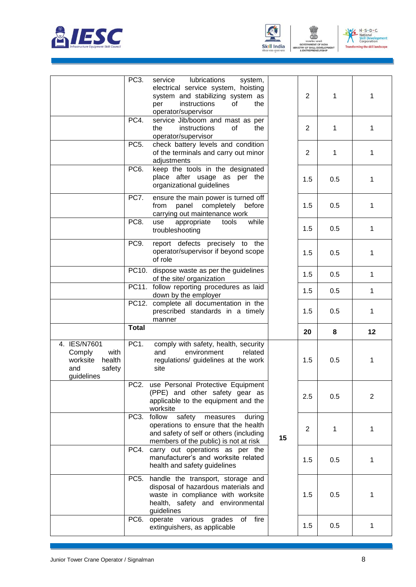





ENT

|                                                                       | PC <sub>3</sub> .         | lubrications<br>service<br>system,<br>electrical service system, hoisting<br>system and stabilizing system as<br>instructions<br>οf<br>the<br>per<br>operator/supervisor                             |    | $\overline{2}$ | 1   | 1              |
|-----------------------------------------------------------------------|---------------------------|------------------------------------------------------------------------------------------------------------------------------------------------------------------------------------------------------|----|----------------|-----|----------------|
|                                                                       | PC4.                      | service Jib/boom and mast as per<br>instructions<br>of<br>the<br>the<br>operator/supervisor                                                                                                          |    | $\overline{2}$ | 1   | 1              |
|                                                                       | PC <sub>5</sub> .         | check battery levels and condition<br>of the terminals and carry out minor<br>adjustments                                                                                                            |    | $\overline{2}$ | 1   | 1              |
|                                                                       | PC <sub>6</sub> .         | keep the tools in the designated<br>place after usage as per the<br>organizational guidelines                                                                                                        |    | 1.5            | 0.5 | 1              |
|                                                                       | PC7.                      | ensure the main power is turned off<br>from panel completely before<br>carrying out maintenance work                                                                                                 |    | 1.5            | 0.5 | 1              |
|                                                                       | PC8.                      | appropriate<br>while<br>use<br>tools<br>troubleshooting                                                                                                                                              |    | 1.5            | 0.5 | $\mathbf{1}$   |
|                                                                       | PC9.                      | report defects precisely to the<br>operator/supervisor if beyond scope<br>of role                                                                                                                    |    | 1.5            | 0.5 | 1              |
|                                                                       |                           | PC10. dispose waste as per the guidelines<br>of the site/ organization                                                                                                                               |    | 1.5            | 0.5 | 1              |
|                                                                       |                           | PC11. follow reporting procedures as laid<br>down by the employer                                                                                                                                    |    | 1.5            | 0.5 | $\mathbf{1}$   |
|                                                                       |                           | PC12. complete all documentation in the                                                                                                                                                              |    |                |     |                |
|                                                                       |                           | prescribed standards in a timely<br>manner                                                                                                                                                           |    | 1.5            | 0.5 | 1              |
|                                                                       | Total                     |                                                                                                                                                                                                      |    | 20             | 8   | 12             |
| 4. IES/N7601<br>with<br>Comply<br>worksite<br>health<br>and<br>safety | PC <sub>1</sub> .         | comply with safety, health, security<br>and<br>environment<br>related<br>regulations/ guidelines at the work<br>site                                                                                 |    | 1.5            | 0.5 | 1              |
| guidelines                                                            | PC <sub>2</sub>           | use Personal Protective Equipment<br>(PPE) and other safety gear as<br>applicable to the equipment and the<br>worksite                                                                               |    | 2.5            | 0.5 | $\overline{2}$ |
|                                                                       | PC <sub>3</sub> .         | follow<br>safety<br>measures<br>during<br>operations to ensure that the health<br>and safety of self or others (including<br>members of the public) is not at risk                                   | 15 | 2              | 1   | 1              |
|                                                                       | PC4.                      | carry out operations as per the<br>manufacturer's and worksite related<br>health and safety guidelines                                                                                               |    | 1.5            | 0.5 | 1              |
|                                                                       | PC <sub>5</sub> .<br>PC6. | handle the transport, storage and<br>disposal of hazardous materials and<br>waste in compliance with worksite<br>health, safety and environmental<br>guidelines<br>operate various grades<br>of fire |    | 1.5            | 0.5 | 1              |